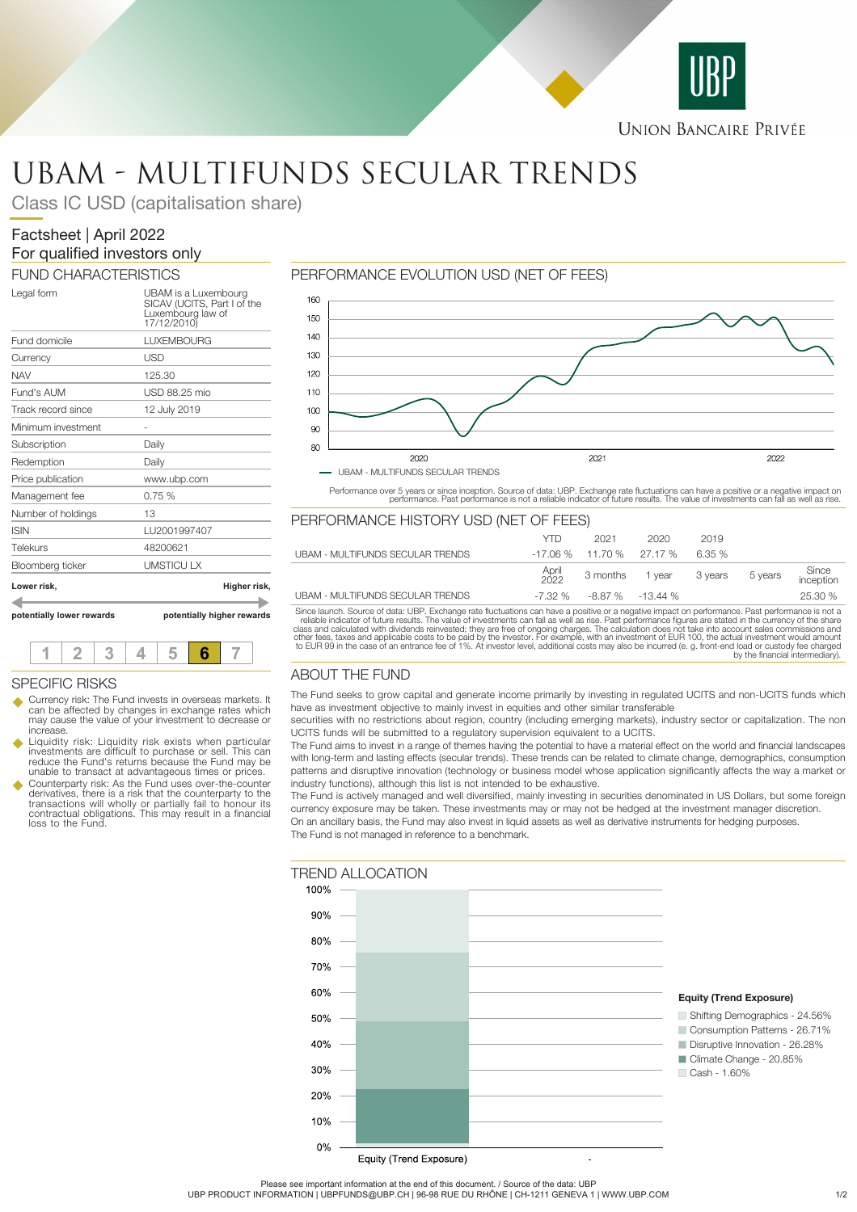

# UBAM - MULTIFUNDS SECULAR TRENDS

Class IC USD (capitalisation share)

# Factsheet | April 2022 For qualified investors only

FUND CHARACTERISTICS

| potentially lower rewards | potentially higher rewards                                                              |  |  |
|---------------------------|-----------------------------------------------------------------------------------------|--|--|
| Lower risk.               | Higher risk,                                                                            |  |  |
| Bloomberg ticker          | <b>UMSTICULX</b>                                                                        |  |  |
| <b>Telekurs</b>           | 48200621                                                                                |  |  |
| <b>ISIN</b>               | LU2001997407                                                                            |  |  |
| Number of holdings        | 13                                                                                      |  |  |
| Management fee            | 0.75%                                                                                   |  |  |
| Price publication         | www.ubp.com                                                                             |  |  |
| Redemption                | Daily                                                                                   |  |  |
| Subscription              | Dailv                                                                                   |  |  |
| Minimum investment        |                                                                                         |  |  |
| Track record since        | 12 July 2019                                                                            |  |  |
| Fund's AUM                | USD 88.25 mio                                                                           |  |  |
| NAV                       | 125.30                                                                                  |  |  |
| Currency                  | USD                                                                                     |  |  |
| Fund domicile             | <b>LUXEMBOURG</b>                                                                       |  |  |
| Legal form                | UBAM is a Luxembourg<br>SICAV (UCITS, Part I of the<br>Luxembourg law of<br>17/12/2010) |  |  |

# **1 2 3 4 5 6 7** SPECIFIC RISKS

- Currency risk: The Fund invests in overseas markets. It can be affected by changes in exchange rates which may cause the value of your investment to decrease or increase.
- Liquidity risk: Liquidity risk exists when particular<br>investments are difficult to purchase or sell. This can<br>reduce the Fund's returns because the Fund may be unable to transact at advantageous times or prices.
- u Counterparty risk: As the Fund uses over-the-counter derivatives, there is a risk that the counterparty to the transactions will wholly or partially fail to honour its contractual obligations. This may result in a financial loss to the Fund.

# PERFORMANCE EVOLUTION USD (NET OF FEES)



Performance over 5 years or since inception. Source of data: UBP. Exchange rate fluctuations can have a positive or a negative impact on<br>performance. Past performance is not a reliable indicator of future results. The valu

# PERFORMANCE HISTORY USD (NET OF FEES)

|                                  | YTD           | 2021                           | 2020                    | 2019   |         |                    |
|----------------------------------|---------------|--------------------------------|-------------------------|--------|---------|--------------------|
| UBAM - MULTIFUNDS SECULAR TRENDS |               | $-17.06\%$ 11.70 % 27.17 %     |                         | 6.35 % |         |                    |
|                                  | April<br>2022 |                                | 3 months 1 year 3 years |        | 5 years | Since<br>inception |
| UBAM - MULTIFUNDS SECULAR TRENDS |               | $-7.32\%$ $-8.87\%$ $-13.44\%$ |                         |        |         | 25.30 %            |

Since launch. Source of data: UBP. Exchange rate fluctuations can have a positive or a negative impact on performance. Past performance is not a reliable indicator of future results. The value of investments can fall as we

# ABOUT THE FUND

The Fund seeks to grow capital and generate income primarily by investing in regulated UCITS and non-UCITS funds which have as investment objective to mainly invest in equities and other similar transferable

securities with no restrictions about region, country (including emerging markets), industry sector or capitalization. The non UCITS funds will be submitted to a regulatory supervision equivalent to a UCITS.

The Fund aims to invest in a range of themes having the potential to have a material effect on the world and financial landscapes with long-term and lasting effects (secular trends). These trends can be related to climate change, demographics, consumption patterns and disruptive innovation (technology or business model whose application significantly affects the way a market or industry functions), although this list is not intended to be exhaustive.

The Fund is actively managed and well diversified, mainly investing in securities denominated in US Dollars, but some foreign currency exposure may be taken. These investments may or may not be hedged at the investment manager discretion. On an ancillary basis, the Fund may also invest in liquid assets as well as derivative instruments for hedging purposes. The Fund is not managed in reference to a benchmark.



Please see important information at the end of this document. / Source of the data: UBP